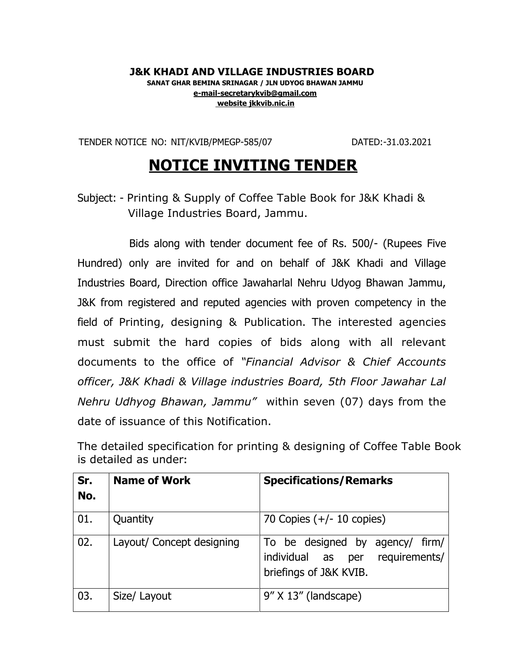## **J&K KHADI AND VILLAGE INDUSTRIES BOARD SANAT GHAR BEMINA SRINAGAR / JLN UDYOG BHAWAN JAMMU [e-mail-secretarykvib@gmail.com](mailto:e-mail-secretarykvib@gmail.com) website jkkvib.nic.in**

TENDER NOTICE NO: NIT/KVIB/PMEGP-585/07 DATED:-31.03.2021

## **NOTICE INVITING TENDER**

Subject: - Printing & Supply of Coffee Table Book for J&K Khadi & Village Industries Board, Jammu.

Bids along with tender document fee of Rs. 500/- (Rupees Five Hundred) only are invited for and on behalf of J&K Khadi and Village Industries Board, Direction office Jawaharlal Nehru Udyog Bhawan Jammu, J&K from registered and reputed agencies with proven competency in the field of Printing, designing & Publication. The interested agencies must submit the hard copies of bids along with all relevant documents to the office of *"Financial Advisor & Chief Accounts officer, J&K Khadi & Village industries Board, 5th Floor Jawahar Lal Nehru Udhyog Bhawan, Jammu"* within seven (07) days from the date of issuance of this Notification.

The detailed specification for printing & designing of Coffee Table Book is detailed as under**:**

| Sr.<br>No. | <b>Name of Work</b>       | <b>Specifications/Remarks</b>                                                                |
|------------|---------------------------|----------------------------------------------------------------------------------------------|
| 01.        | Quantity                  | 70 Copies $(+/- 10$ copies)                                                                  |
| 02.        | Layout/ Concept designing | To be designed by agency/ firm/<br>individual as per requirements/<br>briefings of J&K KVIB. |
| 03.        | Size/ Layout              | 9" X 13" (landscape)                                                                         |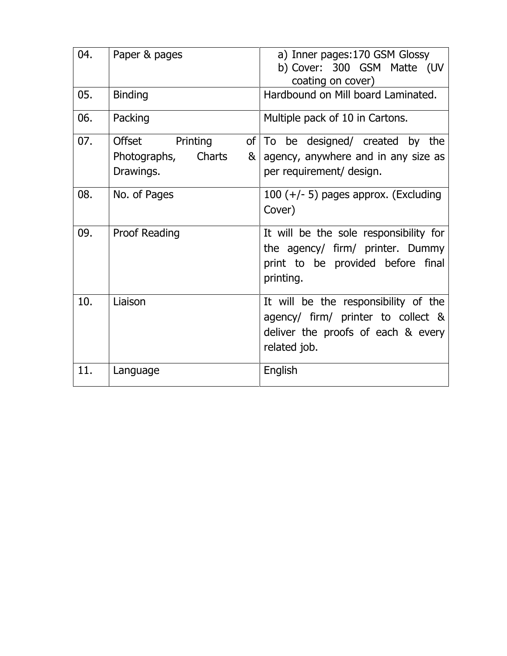| 04. | Paper & pages                                                         | a) Inner pages: 170 GSM Glossy                                                                                                   |
|-----|-----------------------------------------------------------------------|----------------------------------------------------------------------------------------------------------------------------------|
|     |                                                                       | b) Cover: 300 GSM Matte (UV<br>coating on cover)                                                                                 |
| 05. | <b>Binding</b>                                                        | Hardbound on Mill board Laminated.                                                                                               |
| 06. | Packing                                                               | Multiple pack of 10 in Cartons.                                                                                                  |
| 07. | Printing<br><b>Offset</b><br>Charts<br>Photographs,<br>&<br>Drawings. | of   To be designed / created by the<br>agency, anywhere and in any size as<br>per requirement/ design.                          |
| 08. | No. of Pages                                                          | 100 $(+/- 5)$ pages approx. (Excluding<br>Cover)                                                                                 |
| 09. | <b>Proof Reading</b>                                                  | It will be the sole responsibility for<br>the agency/ firm/ printer. Dummy<br>print to be provided before final<br>printing.     |
| 10. | Liaison                                                               | It will be the responsibility of the<br>agency/ firm/ printer to collect &<br>deliver the proofs of each & every<br>related job. |
| 11. | Language                                                              | English                                                                                                                          |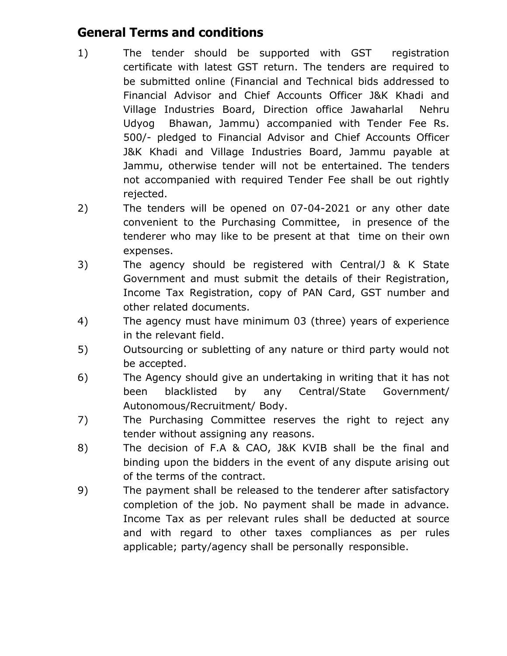## **General Terms and conditions**

- 1) The tender should be supported with GST registration certificate with latest GST return. The tenders are required to be submitted online (Financial and Technical bids addressed to Financial Advisor and Chief Accounts Officer J&K Khadi and Village Industries Board, Direction office Jawaharlal Nehru Udyog Bhawan, Jammu) accompanied with Tender Fee Rs. 500/- pledged to Financial Advisor and Chief Accounts Officer J&K Khadi and Village Industries Board, Jammu payable at Jammu, otherwise tender will not be entertained. The tenders not accompanied with required Tender Fee shall be out rightly rejected.
- 2) The tenders will be opened on 07-04-2021 or any other date convenient to the Purchasing Committee, in presence of the tenderer who may like to be present at that time on their own expenses.
- 3) The agency should be registered with Central/J & K State Government and must submit the details of their Registration, Income Tax Registration, copy of PAN Card, GST number and other related documents.
- 4) The agency must have minimum 03 (three) years of experience in the relevant field.
- 5) Outsourcing or subletting of any nature or third party would not be accepted.
- 6) The Agency should give an undertaking in writing that it has not been blacklisted by any Central/State Government/ Autonomous/Recruitment/ Body.
- 7) The Purchasing Committee reserves the right to reject any tender without assigning any reasons.
- 8) The decision of F.A & CAO, J&K KVIB shall be the final and binding upon the bidders in the event of any dispute arising out of the terms of the contract.
- 9) The payment shall be released to the tenderer after satisfactory completion of the job. No payment shall be made in advance. Income Tax as per relevant rules shall be deducted at source and with regard to other taxes compliances as per rules applicable; party/agency shall be personally responsible.